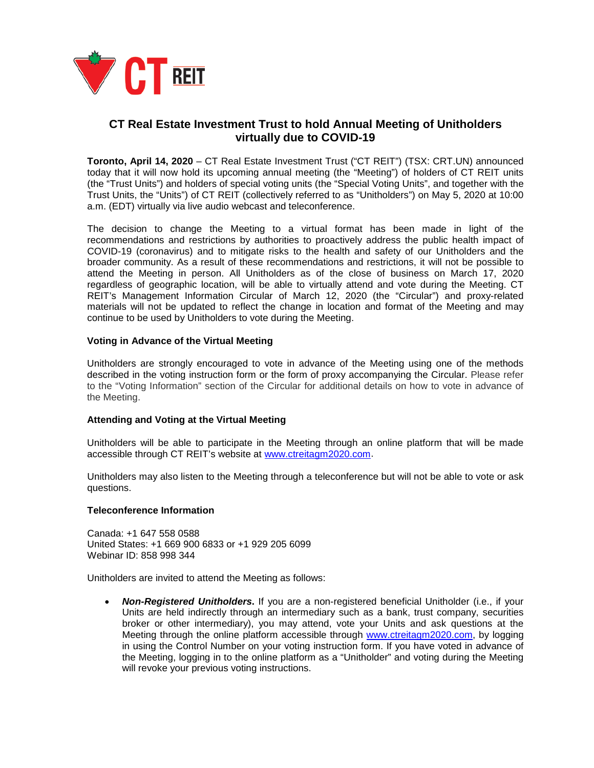

# **CT Real Estate Investment Trust to hold Annual Meeting of Unitholders virtually due to COVID-19**

**Toronto, April 14, 2020** – CT Real Estate Investment Trust ("CT REIT") (TSX: CRT.UN) announced today that it will now hold its upcoming annual meeting (the "Meeting") of holders of CT REIT units (the "Trust Units") and holders of special voting units (the "Special Voting Units", and together with the Trust Units, the "Units") of CT REIT (collectively referred to as "Unitholders") on May 5, 2020 at 10:00 a.m. (EDT) virtually via live audio webcast and teleconference.

The decision to change the Meeting to a virtual format has been made in light of the recommendations and restrictions by authorities to proactively address the public health impact of COVID-19 (coronavirus) and to mitigate risks to the health and safety of our Unitholders and the broader community. As a result of these recommendations and restrictions, it will not be possible to attend the Meeting in person. All Unitholders as of the close of business on March 17, 2020 regardless of geographic location, will be able to virtually attend and vote during the Meeting. CT REIT's Management Information Circular of March 12, 2020 (the "Circular") and proxy-related materials will not be updated to reflect the change in location and format of the Meeting and may continue to be used by Unitholders to vote during the Meeting.

## **Voting in Advance of the Virtual Meeting**

Unitholders are strongly encouraged to vote in advance of the Meeting using one of the methods described in the voting instruction form or the form of proxy accompanying the Circular. Please refer to the "Voting Information" section of the Circular for additional details on how to vote in advance of the Meeting.

## **Attending and Voting at the Virtual Meeting**

Unitholders will be able to participate in the Meeting through an online platform that will be made accessible through CT REIT's website at www.ctreitagm2020.com.

Unitholders may also listen to the Meeting through a teleconference but will not be able to vote or ask questions.

#### **Teleconference Information**

Canada: +1 647 558 0588 United States: +1 669 900 6833 or +1 929 205 6099 Webinar ID: 858 998 344

Unitholders are invited to attend the Meeting as follows:

• *Non-Registered Unitholders***.** If you are a non-registered beneficial Unitholder (i.e., if your Units are held indirectly through an intermediary such as a bank, trust company, securities broker or other intermediary), you may attend, vote your Units and ask questions at the Meeting through the online platform accessible through www.ctreitagm2020.com, by logging in using the Control Number on your voting instruction form. If you have voted in advance of the Meeting, logging in to the online platform as a "Unitholder" and voting during the Meeting will revoke your previous voting instructions.